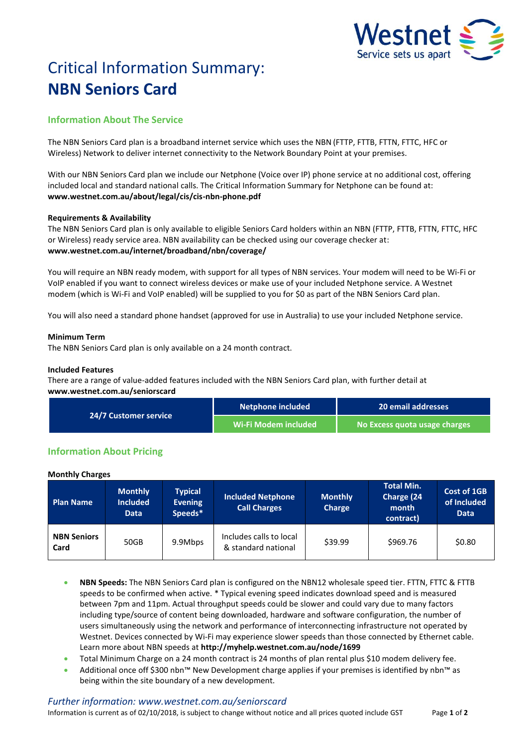

# Critical Information Summary: **NBN Seniors Card**

# **Information About The Service**

The NBN Seniors Card plan is a broadband internet service which uses the NBN (FTTP, FTTB, FTTN, FTTC, HFC or Wireless) Network to deliver internet connectivity to the Network Boundary Point at your premises.

With our NBN Seniors Card plan we include our Netphone (Voice over IP) phone service at no additional cost, offering included local and standard national calls. The Critical Information Summary for Netphone can be found at: **www.westnet.com.au/about/legal/cis/cis-nbn-phone.pdf**

# **Requirements & Availability**

The NBN Seniors Card plan is only available to eligible Seniors Card holders within an NBN (FTTP, FTTB, FTTN, FTTC, HFC or Wireless) ready service area. NBN availability can be checked using our coverage checker at: **www.westnet.com.au/internet/broadband/nbn/coverage/**

You will require an NBN ready modem, with support for all types of NBN services. Your modem will need to be Wi-Fi or VoIP enabled if you want to connect wireless devices or make use of your included Netphone service. A Westnet modem (which is Wi-Fi and VoIP enabled) will be supplied to you for \$0 as part of the NBN Seniors Card plan.

You will also need a standard phone handset (approved for use in Australia) to use your included Netphone service.

# **Minimum Term**

The NBN Seniors Card plan is only available on a 24 month contract.

# **Included Features**

There are a range of value-added features included with the NBN Seniors Card plan, with further detail at **www.westnet.com.au/seniorscard**

| <b>24/7 Customer service</b> | Netphone included    | 20 email addresses            |  |
|------------------------------|----------------------|-------------------------------|--|
|                              | Wi-Fi Modem included | No Excess quota usage charges |  |

# **Information About Pricing**

## **Monthly Charges**

| <b>Plan Name</b>           | <b>Monthly</b><br><b>Included</b><br><b>Data</b> | <b>Typical</b><br><b>Evening</b><br>Speeds* | <b>Included Netphone</b><br><b>Call Charges</b> | <b>Monthly</b><br><b>Charge</b> | <b>Total Min.</b><br>Charge (24<br>month<br>contract) | <b>Cost of 1GB</b><br>of Included<br><b>Data</b> |
|----------------------------|--------------------------------------------------|---------------------------------------------|-------------------------------------------------|---------------------------------|-------------------------------------------------------|--------------------------------------------------|
| <b>NBN Seniors</b><br>Card | 50GB                                             | 9.9Mbps                                     | Includes calls to local<br>& standard national  | \$39.99                         | \$969.76                                              | \$0.80                                           |

- **NBN Speeds:** The NBN Seniors Card plan is configured on the NBN12 wholesale speed tier. FTTN, FTTC & FTTB speeds to be confirmed when active. \* Typical evening speed indicates download speed and is measured between 7pm and 11pm. Actual throughput speeds could be slower and could vary due to many factors including type/source of content being downloaded, hardware and software configuration, the number of users simultaneously using the network and performance of interconnecting infrastructure not operated by Westnet. Devices connected by Wi-Fi may experience slower speeds than those connected by Ethernet cable. Learn more about NBN speeds at **http://myhelp.westnet.com.au/node/1699**
- Total Minimum Charge on a 24 month contract is 24 months of plan rental plus \$10 modem delivery fee.
- Additional once off \$300 nbn™ New Development charge applies if your premises is identified by nbn™ as being within the site boundary of a new development.

## *Further information: www.westnet.com.au/seniorscard*

Information is current as of 02/10/2018, is subject to change without notice and all prices quoted include GST Page **1** of **2**